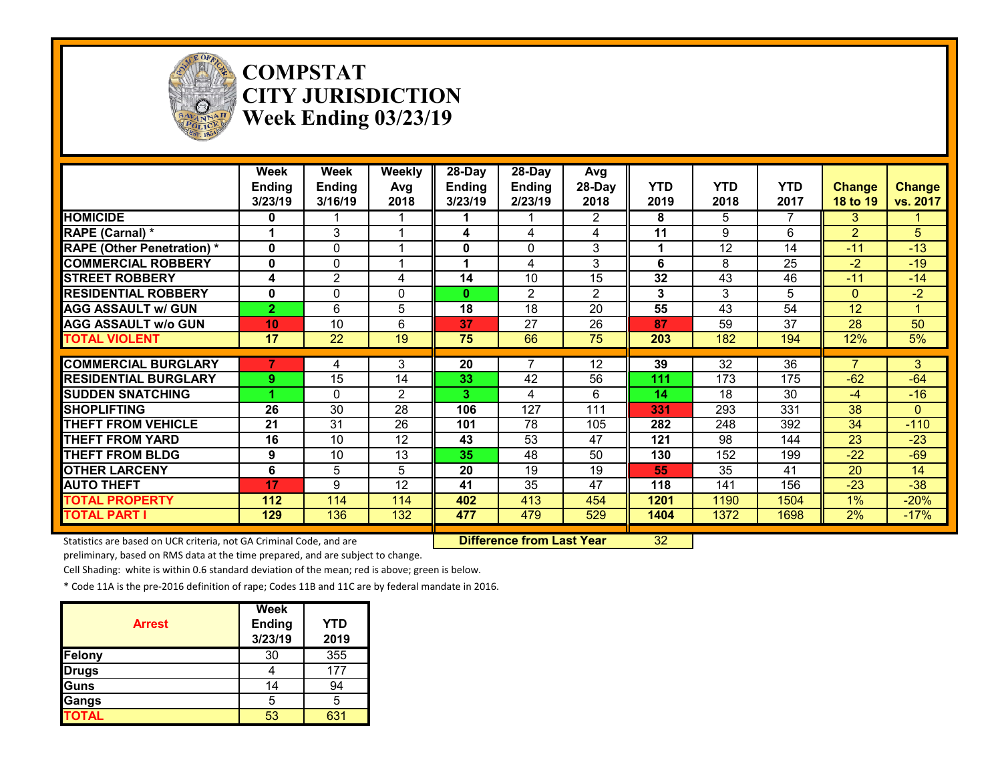

#### **COMPSTAT CITY JURISDICTION Week Ending 03/23/19**

|                                   | Week<br><b>Ending</b><br>3/23/19 | <b>Week</b><br><b>Ending</b><br>3/16/19 | Weekly<br>Avg<br>2018 | 28-Day<br><b>Ending</b><br>3/23/19 | 28-Day<br><b>Ending</b><br>2/23/19 | Avg<br>28-Day<br>2018 | <b>YTD</b><br>2019 | <b>YTD</b><br>2018 | <b>YTD</b><br>2017 | <b>Change</b><br>18 to 19 | <b>Change</b><br>vs. 2017 |
|-----------------------------------|----------------------------------|-----------------------------------------|-----------------------|------------------------------------|------------------------------------|-----------------------|--------------------|--------------------|--------------------|---------------------------|---------------------------|
| <b>HOMICIDE</b>                   | 0                                |                                         |                       |                                    |                                    | $\overline{2}$        | 8                  | 5                  | 7                  | 3                         |                           |
| RAPE (Carnal) *                   |                                  | 3                                       |                       | 4                                  | 4                                  | 4                     | 11                 | 9                  | 6                  | 2                         | 5                         |
| <b>RAPE (Other Penetration) *</b> | $\mathbf{0}$                     | 0                                       |                       | 0                                  | $\mathbf 0$                        | 3                     | 1                  | 12                 | 14                 | $-11$                     | $-13$                     |
| <b>COMMERCIAL ROBBERY</b>         | $\mathbf{0}$                     | $\Omega$                                |                       | 1                                  | 4                                  | 3                     | 6                  | 8                  | 25                 | $-2$                      | $-19$                     |
| <b>STREET ROBBERY</b>             | 4                                | $\overline{2}$                          | 4                     | 14                                 | 10                                 | 15                    | 32                 | 43                 | 46                 | $-11$                     | $-14$                     |
| <b>RESIDENTIAL ROBBERY</b>        | $\mathbf{0}$                     | $\Omega$                                | $\Omega$              | 0                                  | $\overline{2}$                     | $\overline{2}$        | 3                  | 3                  | 5                  | $\Omega$                  | $-2$                      |
| <b>AGG ASSAULT w/ GUN</b>         | 2 <sup>1</sup>                   | 6                                       | 5                     | 18                                 | 18                                 | 20                    | 55                 | 43                 | 54                 | 12                        |                           |
| <b>AGG ASSAULT w/o GUN</b>        | 10                               | 10                                      | 6                     | 37                                 | 27                                 | 26                    | 87                 | 59                 | 37                 | 28                        | 50                        |
| <b>TOTAL VIOLENT</b>              | 17                               | 22                                      | 19                    | 75                                 | 66                                 | 75                    | 203                | 182                | 194                | 12%                       | 5%                        |
|                                   |                                  |                                         |                       |                                    |                                    |                       |                    |                    |                    |                           |                           |
| <b>COMMERCIAL BURGLARY</b>        |                                  | 4                                       | 3                     | 20                                 | 7                                  | 12                    | 39                 | $\overline{32}$    | $\overline{36}$    | 7                         | 3                         |
| <b>RESIDENTIAL BURGLARY</b>       | 9.                               | 15                                      | 14                    | 33                                 | 42                                 | 56                    | 111                | 173                | 175                | $-62$                     | $-64$                     |
| <b>SUDDEN SNATCHING</b>           | 4                                | $\Omega$                                | $\overline{2}$        | 3.                                 | 4                                  | 6                     | 14                 | 18                 | 30                 | $-4$                      | $-16$                     |
| <b>SHOPLIFTING</b>                | 26                               | 30                                      | 28                    | 106                                | 127                                | 111                   | 331                | 293                | 331                | 38                        | $\Omega$                  |
| <b>THEFT FROM VEHICLE</b>         | 21                               | 31                                      | 26                    | 101                                | 78                                 | 105                   | 282                | 248                | 392                | 34                        | $-110$                    |
| <b>THEFT FROM YARD</b>            | 16                               | 10                                      | 12                    | 43                                 | 53                                 | 47                    | 121                | 98                 | 144                | 23                        | $-23$                     |
| <b>THEFT FROM BLDG</b>            | 9                                | 10                                      | 13                    | 35                                 | 48                                 | 50                    | 130                | 152                | 199                | $-22$                     | $-69$                     |
| <b>OTHER LARCENY</b>              | 6                                | 5                                       | 5                     | 20                                 | 19                                 | 19                    | 55                 | 35                 | 41                 | 20                        | 14                        |
|                                   | 17                               | 9                                       | 12                    | 41                                 | 35                                 | 47                    | 118                | 141                | 156                | $-23$                     | $-38$                     |
| <b>AUTO THEFT</b>                 |                                  |                                         |                       |                                    |                                    |                       |                    |                    |                    |                           |                           |
| <b>TOTAL PROPERTY</b>             | 112                              | 114                                     | 114                   | 402                                | 413                                | 454                   | 1201               | 1190               | 1504               | 1%                        | $-20%$                    |

Statistics are based on UCR criteria, not GA Criminal Code, and are **Difference from Last Year** 32

preliminary, based on RMS data at the time prepared, and are subject to change.

Cell Shading: white is within 0.6 standard deviation of the mean; red is above; green is below.

| <b>Arrest</b> | Week<br>Ending<br>3/23/19 | <b>YTD</b><br>2019 |
|---------------|---------------------------|--------------------|
| <b>Felony</b> | 30                        | 355                |
| <b>Drugs</b>  |                           | 177                |
| Guns          | 14                        | 94                 |
| Gangs         | 5                         | 5                  |
| <b>TOTAL</b>  | 53                        | 631                |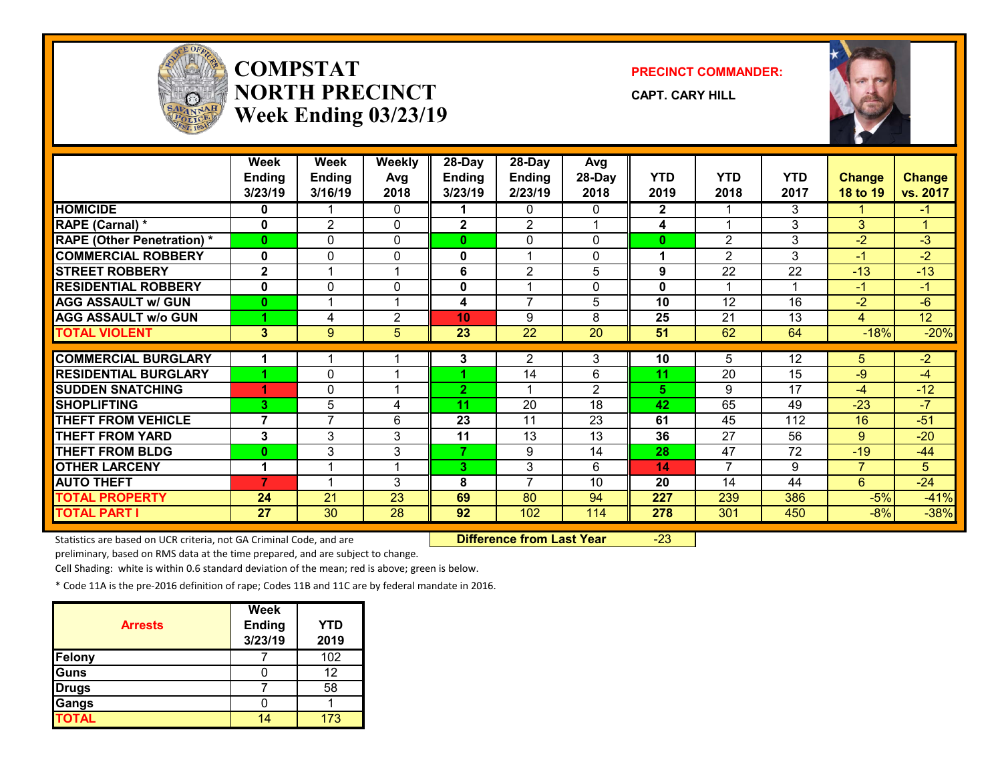

# **COMPSTATNORTH PRECINCTWeek Ending 03/23/19**

**PRECINCT COMMANDER:**

**CAPT. CARY HILL**



|                                   | Week           | Week           | <b>Weekly</b>           | 28-Day         | 28-Day          | Avg            |              |                 |            |                |                 |
|-----------------------------------|----------------|----------------|-------------------------|----------------|-----------------|----------------|--------------|-----------------|------------|----------------|-----------------|
|                                   | <b>Ending</b>  | <b>Ending</b>  | Avg                     | <b>Ending</b>  | <b>Ending</b>   | 28-Day         | <b>YTD</b>   | <b>YTD</b>      | <b>YTD</b> | <b>Change</b>  | <b>Change</b>   |
|                                   | 3/23/19        | 3/16/19        | 2018                    | 3/23/19        | 2/23/19         | 2018           | 2019         | 2018            | 2017       | 18 to 19       | vs. 2017        |
| <b>HOMICIDE</b>                   | 0              |                | 0                       |                | $\Omega$        | 0              | $\mathbf{2}$ |                 | 3          |                | -1              |
| RAPE (Carnal) *                   | 0              | $\overline{2}$ | $\Omega$                | $\overline{2}$ | $\overline{2}$  |                | 4            | 1               | 3          | 3              | $\mathbf{1}$    |
| <b>RAPE (Other Penetration) *</b> | $\mathbf{0}$   | $\Omega$       | $\Omega$                | 0              | $\mathbf 0$     | 0              | $\bf{0}$     | $\overline{2}$  | 3          | $-2$           | $-3$            |
| <b>COMMERCIAL ROBBERY</b>         | $\mathbf{0}$   | $\Omega$       | 0                       | $\mathbf 0$    | 1               | 0              | 1            | $\overline{2}$  | 3          | -1             | $-2$            |
| <b>STREET ROBBERY</b>             | $\mathbf{2}$   |                |                         | 6              | $\overline{2}$  | 5              | 9            | 22              | 22         | $-13$          | $-13$           |
| <b>RESIDENTIAL ROBBERY</b>        | 0              | $\Omega$       | 0                       | $\mathbf 0$    | 1               | 0              | $\bf{0}$     | 1               |            | $-1$           | $-1$            |
| <b>AGG ASSAULT w/ GUN</b>         | $\bf{0}$       |                | -1                      | 4              | $\overline{7}$  | 5              | 10           | 12              | 16         | $-2$           | $-6$            |
| <b>AGG ASSAULT w/o GUN</b>        | и              | 4              | 2                       | 10             | 9               | 8              | 25           | 21              | 13         | 4              | 12 <sup>°</sup> |
| <b>TOTAL VIOLENT</b>              | 3              | 9              | 5                       | 23             | 22              | 20             | 51           | 62              | 64         | $-18%$         | $-20%$          |
|                                   |                |                |                         |                |                 |                |              |                 |            |                |                 |
| <b>COMMERCIAL BURGLARY</b>        | 1              |                |                         | 3              | 2               | 3              | 10           | 5               | 12         | 5.             | $-2$            |
| <b>RESIDENTIAL BURGLARY</b>       |                | 0              |                         |                | 14              | 6              | 11           | 20              | 15         | $-9$           | $-4$            |
| <b>SUDDEN SNATCHING</b>           | Æ              | 0              | $\overline{ }$          | $\mathbf{2}$   | 1               | $\overline{2}$ | 5            | 9               | 17         | $-4$           | $-12$           |
| <b>SHOPLIFTING</b>                | 3              | 5              | 4                       | 11             | 20              | 18             | 42           | 65              | 49         | $-23$          | $-7$            |
| <b>THEFT FROM VEHICLE</b>         | $\overline{7}$ | $\overline{7}$ | 6                       | 23             | 11              | 23             | 61           | 45              | 112        | 16             | $-51$           |
| <b>THEFT FROM YARD</b>            | 3              | 3              | 3                       | 11             | $\overline{13}$ | 13             | 36           | $\overline{27}$ | 56         | 9              | $-20$           |
| <b>THEFT FROM BLDG</b>            | $\bf{0}$       | 3              | 3                       | 7.             | 9               | 14             | 28           | 47              | 72         | $-19$          | $-44$           |
| <b>OTHER LARCENY</b>              | 1              |                | $\overline{\mathbf{A}}$ | 3              | 3               | 6              | 14           | $\overline{7}$  | 9          | $\overline{7}$ | 5               |
| <b>AUTO THEFT</b>                 | $\overline{7}$ |                | 3                       | 8              | $\overline{7}$  | 10             | 20           | 14              | 44         | 6              | $-24$           |
| <b>TOTAL PROPERTY</b>             | 24             | 21             | 23                      | 69             | 80              | 94             | 227          | 239             | 386        | $-5%$          | $-41%$          |
| <b>TOTAL PART I</b>               | 27             | 30             | 28                      | 92             | 102             | 114            | 278          | 301             | 450        | $-8%$          | $-38%$          |

Statistics are based on UCR criteria, not GA Criminal Code, and are **Difference from Last Year** -23

preliminary, based on RMS data at the time prepared, and are subject to change.

Cell Shading: white is within 0.6 standard deviation of the mean; red is above; green is below.

|                | <b>Week</b>   |            |
|----------------|---------------|------------|
| <b>Arrests</b> | <b>Ending</b> | <b>YTD</b> |
|                | 3/23/19       | 2019       |
| <b>Felony</b>  |               | 102        |
| <b>Guns</b>    |               | 12         |
| <b>Drugs</b>   |               | 58         |
| Gangs          |               |            |
| <b>TOTAL</b>   |               | 173        |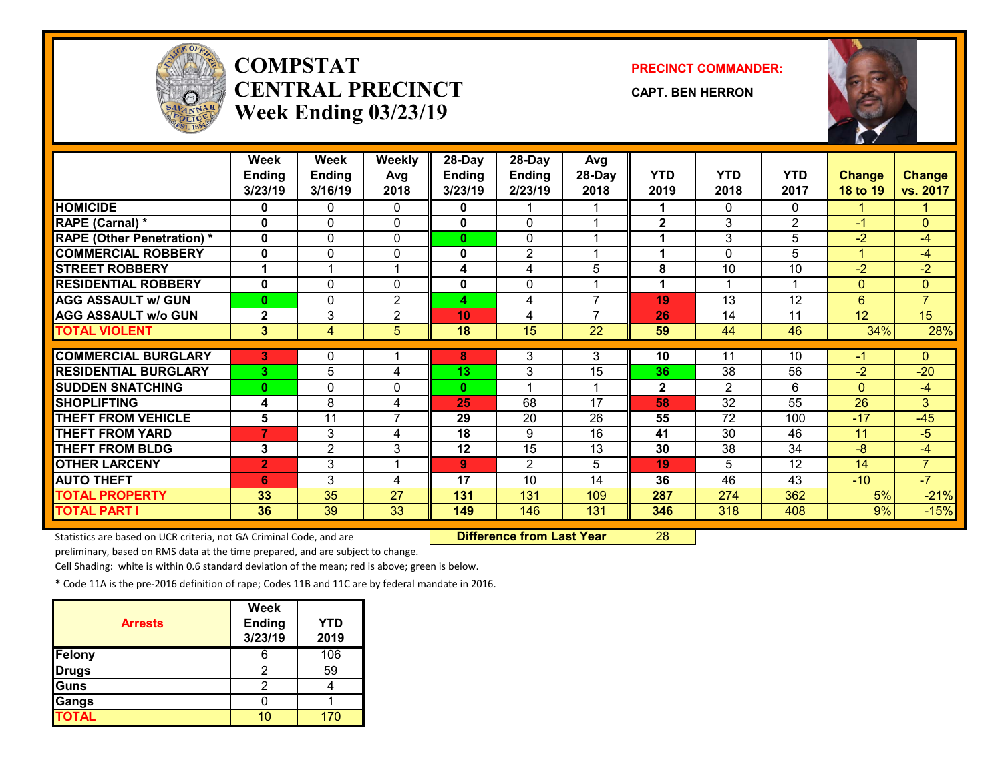

# **COMPSTATCENTRAL PRECINCTWeek Ending 03/23/19**

**PRECINCT COMMANDER:**

**CAPT. BEN HERRON**



|                                   | Week<br><b>Ending</b><br>3/23/19 | Week<br><b>Ending</b><br>3/16/19 | <b>Weekly</b><br>Avg<br>2018 | $28$ -Day<br><b>Ending</b><br>3/23/19 | 28-Day<br><b>Ending</b><br>2/23/19 | Avg<br>28-Day<br>2018 | <b>YTD</b><br>2019 | <b>YTD</b><br>2018 | <b>YTD</b><br>2017 | <b>Change</b><br>18 to 19 | <b>Change</b><br>vs. 2017 |
|-----------------------------------|----------------------------------|----------------------------------|------------------------------|---------------------------------------|------------------------------------|-----------------------|--------------------|--------------------|--------------------|---------------------------|---------------------------|
| <b>HOMICIDE</b>                   | 0                                | 0                                | 0                            | 0                                     |                                    |                       | 1                  | 0                  | $\Omega$           |                           |                           |
| RAPE (Carnal) *                   | $\mathbf{0}$                     | 0                                | $\Omega$                     | $\mathbf{0}$                          | $\Omega$                           |                       | $\mathbf{2}$       | 3                  | $\overline{2}$     | $-1$                      | $\Omega$                  |
| <b>RAPE (Other Penetration) *</b> | $\mathbf 0$                      | 0                                | $\mathbf{0}$                 | 0                                     | $\Omega$                           |                       | 1                  | 3                  | 5                  | $-2$                      | $-4$                      |
| <b>COMMERCIAL ROBBERY</b>         | $\mathbf 0$                      | 0                                | 0                            | 0                                     | $\overline{2}$                     |                       | 1                  | 0                  | 5                  | 1                         | $-4$                      |
| <b>STREET ROBBERY</b>             |                                  |                                  |                              | 4                                     | 4                                  | 5                     | 8                  | 10                 | 10                 | $-2$                      | $-2$                      |
| <b>RESIDENTIAL ROBBERY</b>        | $\mathbf{0}$                     | $\Omega$                         | $\Omega$                     | $\mathbf 0$                           | $\mathbf{0}$                       | 4                     | 1                  | 1                  | 1                  | $\overline{0}$            | $\Omega$                  |
| <b>AGG ASSAULT w/ GUN</b>         | $\bf{0}$                         | 0                                | 2                            | 4                                     | 4                                  | $\overline{7}$        | 19                 | 13                 | 12                 | 6                         | $\overline{7}$            |
| <b>AGG ASSAULT w/o GUN</b>        | $\mathbf{2}$                     | 3                                | $\overline{2}$               | 10                                    | 4                                  | $\overline{7}$        | 26                 | 14                 | 11                 | 12                        | 15                        |
| <b>TOTAL VIOLENT</b>              | 3                                | $\overline{4}$                   | 5                            | 18                                    | 15                                 | $\overline{22}$       | 59                 | 44                 | 46                 | 34%                       | 28%                       |
|                                   |                                  |                                  |                              |                                       |                                    |                       |                    |                    |                    |                           |                           |
| <b>COMMERCIAL BURGLARY</b>        | 3                                | 0                                |                              | 8                                     | 3                                  | 3                     | 10                 | 11                 | 10                 | -1                        | $\Omega$                  |
| <b>RESIDENTIAL BURGLARY</b>       | 3                                | 5                                | 4                            | 13                                    | 3                                  | 15                    | 36                 | 38                 | 56                 | $-2$                      | $-20$                     |
| <b>SUDDEN SNATCHING</b>           | $\bf{0}$                         | $\Omega$                         | 0                            | 0                                     |                                    |                       | $\mathbf{2}$       | $\overline{2}$     | 6                  | $\Omega$                  | $-4$                      |
| <b>SHOPLIFTING</b>                | 4                                | 8                                | 4                            | 25                                    | 68                                 | $\overline{17}$       | 58                 | $\overline{32}$    | $\overline{55}$    | $\overline{26}$           | 3                         |
| <b>THEFT FROM VEHICLE</b>         | 5                                | 11                               | $\overline{7}$               | 29                                    | 20                                 | 26                    | 55                 | 72                 | 100                | $-17$                     | $-45$                     |
| <b>THEFT FROM YARD</b>            | $\overline{7}$                   | 3                                | 4                            | $\overline{18}$                       | 9                                  | 16                    | 41                 | 30                 | 46                 | 11                        | $-5$                      |
| <b>THEFT FROM BLDG</b>            | 3                                | 2                                | 3                            | 12                                    | 15                                 | 13                    | 30                 | 38                 | 34                 | $-8$                      | $-4$                      |
| <b>OTHER LARCENY</b>              | $\overline{2}$                   | 3                                |                              | 9                                     | $\overline{2}$                     | 5                     | 19                 | 5                  | 12                 | 14                        | $\overline{7}$            |
| <b>AUTO THEFT</b>                 | 6                                | 3                                | 4                            | 17                                    | 10                                 | 14                    | 36                 | 46                 | 43                 | $-10$                     | $-7$                      |
| <b>TOTAL PROPERTY</b>             | 33                               | 35                               | 27                           | 131                                   | 131                                | 109                   | 287                | 274                | 362                | 5%                        | $-21%$                    |
| <b>TOTAL PART I</b>               | 36                               | 39                               | 33                           | 149                                   | 146                                | 131                   | 346                | 318                | 408                | 9%                        | $-15%$                    |

Statistics are based on UCR criteria, not GA Criminal Code, and are **Difference from Last Year** 28

preliminary, based on RMS data at the time prepared, and are subject to change.

Cell Shading: white is within 0.6 standard deviation of the mean; red is above; green is below.

| <b>Arrests</b> | <b>Week</b><br><b>Ending</b><br>3/23/19 | <b>YTD</b><br>2019 |
|----------------|-----------------------------------------|--------------------|
| Felony         |                                         | 106                |
| Drugs          |                                         | 59                 |
| Guns           |                                         |                    |
| Gangs          |                                         |                    |
| <b>TOTAL</b>   |                                         | 170                |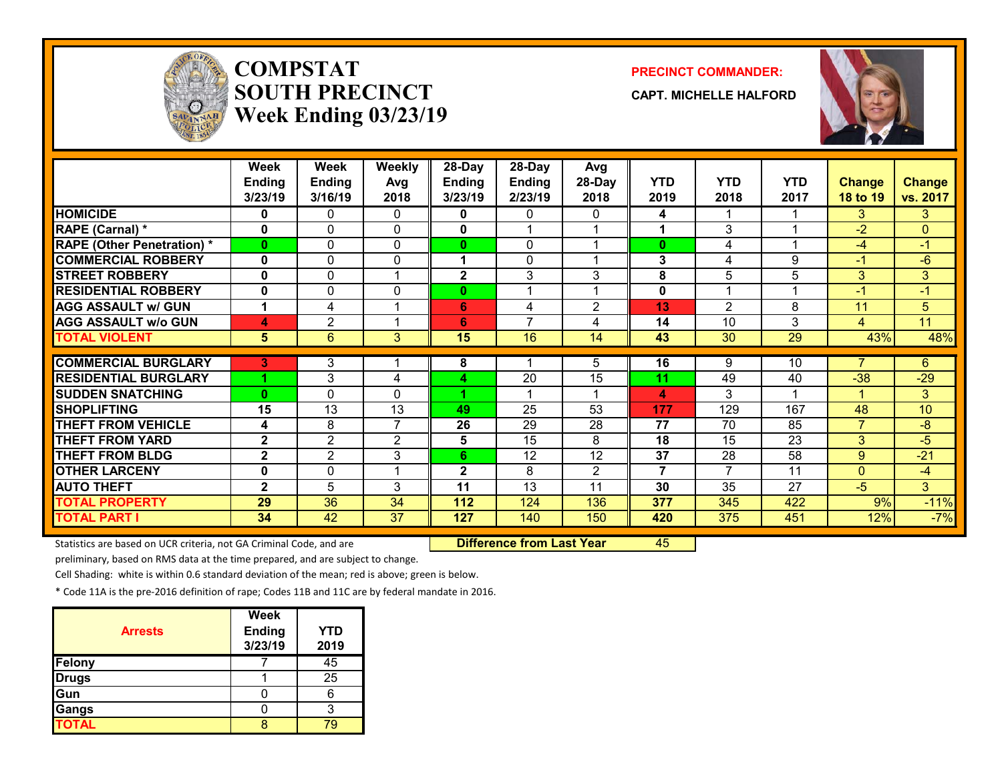

# **COMPSTATSOUTH PRECINCTWeek Ending 03/23/19**

#### **PRECINCT COMMANDER:**

**CAPT. MICHELLE HALFORD**



|                                   | <b>Week</b>   | Week           | <b>Weekly</b>  | 28-Day         | 28-Day         | Avg          |                |            |            |                |                |
|-----------------------------------|---------------|----------------|----------------|----------------|----------------|--------------|----------------|------------|------------|----------------|----------------|
|                                   | <b>Ending</b> | <b>Ending</b>  | Avg            | <b>Ending</b>  | <b>Ending</b>  | 28-Day       | <b>YTD</b>     | <b>YTD</b> | <b>YTD</b> | <b>Change</b>  | <b>Change</b>  |
|                                   | 3/23/19       | 3/16/19        | 2018           | 3/23/19        | 2/23/19        | 2018         | 2019           | 2018       | 2017       | 18 to 19       | vs. 2017       |
| <b>HOMICIDE</b>                   | 0             | 0              | 0              | 0              | 0              | 0            | 4              |            |            | 3              | 3              |
| RAPE (Carnal) *                   | 0             | 0              | $\Omega$       | 0              |                |              |                | 3          |            | $-2$           | $\overline{0}$ |
| <b>RAPE (Other Penetration) *</b> | 0             | 0              | $\Omega$       | 0              | 0              |              | $\bf{0}$       | 4          |            | -4             | $-1$           |
| <b>COMMERCIAL ROBBERY</b>         | 0             | 0              | $\Omega$       |                | $\mathbf{0}$   |              | 3              | 4          | 9          | -1             | $-6$           |
| <b>STREET ROBBERY</b>             | 0             | 0              | 1              | $\mathbf{2}$   | 3              | 3            | 8              | 5          | 5          | 3              | 3              |
| <b>RESIDENTIAL ROBBERY</b>        | 0             | 0              | 0              | $\mathbf{0}$   |                |              | 0              |            |            | $-1$           | $-1$           |
| <b>AGG ASSAULT w/ GUN</b>         | 1             | 4              | 1              | 6              | 4              | $\mathbf{2}$ | 13             | 2          | 8          | 11             | 5              |
| <b>AGG ASSAULT W/o GUN</b>        | 4             | $\overline{2}$ | 1              | 6              | $\overline{ }$ | 4            | 14             | 10         | 3          | $\overline{4}$ | 11             |
| <b>TOTAL VIOLENT</b>              | 5             | 6              | 3              | 15             | 16             | 14           | 43             | 30         | 29         | 43%            | 48%            |
|                                   |               |                |                |                |                |              |                |            |            |                |                |
| <b>COMMERCIAL BURGLARY</b>        | 3             | 3              |                | 8              |                | 5            | 16             | 9          | 10         |                | 6              |
| <b>RESIDENTIAL BURGLARY</b>       |               | 3              | 4              | 4              | 20             | 15           | 11             | 49         | 40         | $-38$          | $-29$          |
| <b>SUDDEN SNATCHING</b>           | $\bf{0}$      | 0              | $\Omega$       | 4.             |                |              | 4              | 3          |            |                | 3 <sup>1</sup> |
| <b>SHOPLIFTING</b>                | 15            | 13             | 13             | 49             | 25             | 53           | 177            | 129        | 167        | 48             | 10             |
| <b>THEFT FROM VEHICLE</b>         | 4             | 8              | $\overline{7}$ | 26             | 29             | 28           | 77             | 70         | 85         | $\overline{ }$ | $-8$           |
| <b>THEFT FROM YARD</b>            | $\mathbf{2}$  | $\overline{2}$ | $\overline{2}$ | 5              | 15             | 8            | 18             | 15         | 23         | 3              | -5             |
| <b>THEFT FROM BLDG</b>            | $\mathbf{2}$  | $\overline{2}$ | 3              | 6              | 12             | 12           | 37             | 28         | 58         | 9              | $-21$          |
| <b>OTHER LARCENY</b>              | 0             | 0              | 1              | $\overline{2}$ | 8              | 2            | $\overline{7}$ | 7          | 11         | $\Omega$       | $-4$           |
| <b>AUTO THEFT</b>                 | $\mathbf{2}$  | 5              | 3              | 11             | 13             | 11           | 30             | 35         | 27         | $-5$           | 3              |
| <b>TOTAL PROPERTY</b>             | 29            | 36             | 34             | 112            | 124            | 136          | 377            | 345        | 422        | 9%             | $-11%$         |
| <b>TOTAL PART I</b>               | 34            | 42             | 37             | 127            | 140            | 150          | 420            | 375        | 451        | 12%            | $-7%$          |

Statistics are based on UCR criteria, not GA Criminal Code, and are **Difference from Last Year** 45

preliminary, based on RMS data at the time prepared, and are subject to change.

Cell Shading: white is within 0.6 standard deviation of the mean; red is above; green is below.

| <b>Arrests</b> | <b>Week</b><br><b>Ending</b><br>3/23/19 | <b>YTD</b><br>2019 |
|----------------|-----------------------------------------|--------------------|
| Felony         |                                         | 45                 |
| <b>Drugs</b>   |                                         | 25                 |
| Gun            |                                         |                    |
| Gangs          |                                         |                    |
| <b>TOTAL</b>   |                                         |                    |